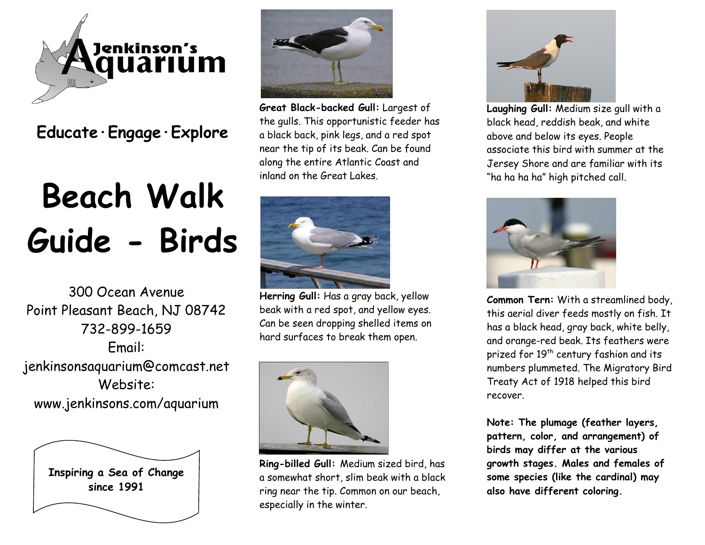

## **Educate·Engage·Explore**

## **Beach Walk Guide - Birds**

300 Ocean Avenue Point Pleasant Beach, NJ 08742 732-899-1659 Email: jenkinsonsaquarium@comcast.net Website: www.jenkinsons.com/aquarium





**Great Black-backed Gull:** Largest of the gulls. This opportunistic feeder has a black back, pink legs, and a red spot near the tip of its beak. Can be found along the entire Atlantic Coast and inland on the Great Lakes.



**Herring Gull:** Has a gray back, yellow beak with a red spot, and yellow eyes. Can be seen dropping shelled items on hard surfaces to break them open.



**Ring-billed Gull:** Medium sized bird, has a somewhat short, slim beak with a black ring near the tip. Common on our beach, especially in the winter.



**Laughing Gull:** Medium size gull with a black head, reddish beak, and white above and below its eyes. People associate this bird with summer at the Jersey Shore and are familiar with its "ha ha ha ha" high pitched call.



**Common Tern:** With a streamlined body, this aerial diver feeds mostly on fish. It has a black head, gray back, white belly, and orange-red beak. Its feathers were prized for 19<sup>th</sup> century fashion and its numbers plummeted. The Migratory Bird Treaty Act of 1918 helped this bird recover.

**Note: The plumage (feather layers, pattern, color, and arrangement) of birds may differ at the various growth stages. Males and females of some species (like the cardinal) may also have different coloring.**